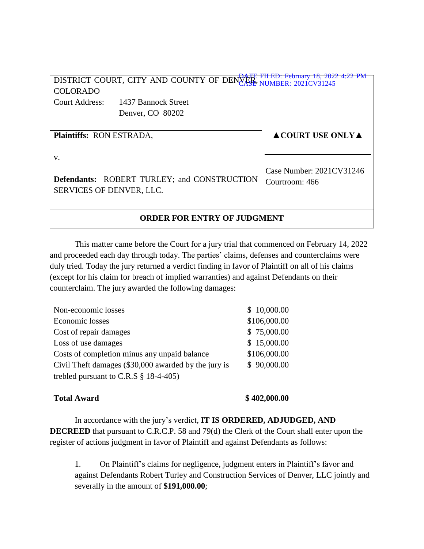| FILED: February 18, 2022 4:22 PM<br>DISTRICT COURT, CITY AND COUNTY OF DENVER FILED: PEDTUGN 10, 2022 |                     |                                        |  |
|-------------------------------------------------------------------------------------------------------|---------------------|----------------------------------------|--|
| <b>COLORADO</b>                                                                                       |                     |                                        |  |
| <b>Court Address:</b>                                                                                 | 1437 Bannock Street |                                        |  |
|                                                                                                       | Denver, CO 80202    |                                        |  |
|                                                                                                       |                     |                                        |  |
| <b>Plaintiffs: RON ESTRADA,</b>                                                                       |                     | $\triangle$ COURT USE ONLY $\triangle$ |  |
|                                                                                                       |                     |                                        |  |
| V.                                                                                                    |                     |                                        |  |
|                                                                                                       |                     | Case Number: 2021CV31246               |  |
| <b>Defendants: ROBERT TURLEY; and CONSTRUCTION</b>                                                    |                     | Courtroom: 466                         |  |
| SERVICES OF DENVER, LLC.                                                                              |                     |                                        |  |
|                                                                                                       |                     |                                        |  |
| <b>ORDER FOR ENTRY OF JUDGMENT</b>                                                                    |                     |                                        |  |

This matter came before the Court for a jury trial that commenced on February 14, 2022 and proceeded each day through today. The parties' claims, defenses and counterclaims were duly tried. Today the jury returned a verdict finding in favor of Plaintiff on all of his claims (except for his claim for breach of implied warranties) and against Defendants on their counterclaim. The jury awarded the following damages:

| \$10,000.00  |
|--------------|
| \$106,000.00 |
| \$75,000.00  |
| \$15,000.00  |
| \$106,000.00 |
| \$90,000.00  |
|              |
|              |

## **Total Award \$ 402,000.00**

In accordance with the jury's verdict, **IT IS ORDERED, ADJUDGED, AND DECREED** that pursuant to C.R.C.P. 58 and 79(d) the Clerk of the Court shall enter upon the register of actions judgment in favor of Plaintiff and against Defendants as follows:

1. On Plaintiff's claims for negligence, judgment enters in Plaintiff's favor and against Defendants Robert Turley and Construction Services of Denver, LLC jointly and severally in the amount of **\$191,000.00**;